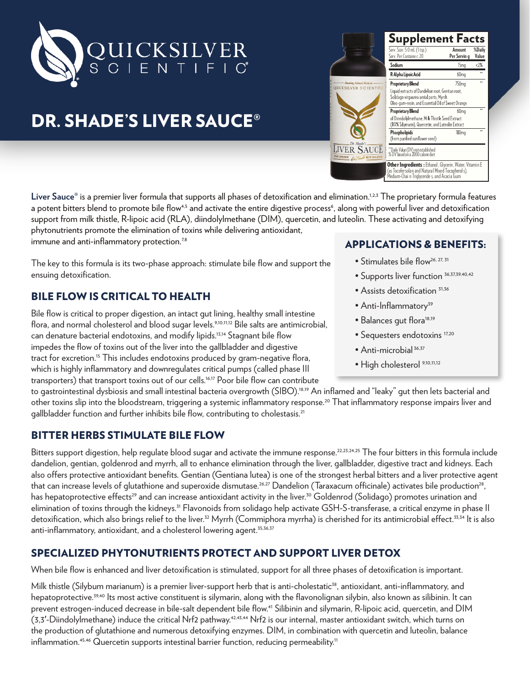

# DR. SHADE'S LIVER SAUCE®

Liver Sauce<sup>®</sup> is a premier liver formula that supports all phases of detoxification and elimination.<sup>1,2,3</sup> The proprietary formula features a potent bitters blend to promote bile flow<sup>4,5</sup> and activate the entire digestive process<sup>6</sup>, along with powerful liver and detoxification support from milk thistle, R-lipoic acid (RLA), diindolylmethane (DIM), quercetin, and luteolin. These activating and detoxifying phytonutrients promote the elimination of toxins while delivering antioxidant, immune and anti-inflammatory protection.<sup>7,8</sup>

The key to this formula is its two-phase approach: stimulate bile flow and support the ensuing detoxification.

### BILE FLOW IS CRITICAL TO HEALTH

Bile flow is critical to proper digestion, an intact gut lining, healthy small intestine flora, and normal cholesterol and blood sugar levels.9,10,11,12 Bile salts are antimicrobial, can denature bacterial endotoxins, and modify lipids.13,14 Stagnant bile flow impedes the flow of toxins out of the liver into the gallbladder and digestive tract for excretion.<sup>15</sup> This includes endotoxins produced by gram-negative flora, which is highly inflammatory and downregulates critical pumps (called phase III transporters) that transport toxins out of our cells.16,17 Poor bile flow can contribute

#### APPLICATIONS & BENEFITS:

- Stimulates bile flow<sup>26, 27, 31</sup>
- Supports liver function <sup>36,37,39,40,42</sup>
- Assists detoxification  $31,36$
- Anti-Inflammatory<sup>39</sup>
- Balances gut flora<sup>18,19</sup>
- Sequesters endotoxins<sup>17,20</sup>
- Anti-microbial 36,37
- High cholesterol 9,10,11,12

to gastrointestinal dysbiosis and small intestinal bacteria overgrowth (SIBO).<sup>18,19</sup> An inflamed and "leaky" gut then lets bacterial and other toxins slip into the bloodstream, triggering a systemic inflammatory response.20 That inflammatory response impairs liver and gallbladder function and further inhibits bile flow, contributing to cholestasis.<sup>21</sup>

#### BITTER HERBS STIMULATE BILE FLOW

Bitters support digestion, help regulate blood sugar and activate the immune response.<sup>22,23,24,25</sup> The four bitters in this formula include dandelion, gentian, goldenrod and myrrh, all to enhance elimination through the liver, gallbladder, digestive tract and kidneys. Each also offers protective antioxidant benefits. Gentian (Gentiana lutea) is one of the strongest herbal bitters and a liver protective agent that can increase levels of glutathione and superoxide dismutase.<sup>26,27</sup> Dandelion (Taraxacum officinale) activates bile production<sup>28</sup>, has hepatoprotective effects<sup>29</sup> and can increase antioxidant activity in the liver.<sup>30</sup> Goldenrod (Solidago) promotes urination and elimination of toxins through the kidneys.<sup>31</sup> Flavonoids from solidago help activate GSH-S-transferase, a critical enzyme in phase II detoxification, which also brings relief to the liver.<sup>32</sup> Myrrh (Commiphora myrrha) is cherished for its antimicrobial effect.<sup>33,34</sup> It is also anti-inflammatory, antioxidant, and a cholesterol lowering agent.<sup>35,36,37</sup>

## SPECIALIZED PHYTONUTRIENTS PROTECT AND SUPPORT LIVER DETOX

When bile flow is enhanced and liver detoxification is stimulated, support for all three phases of detoxification is important.

Milk thistle (Silybum marianum) is a premier liver-support herb that is anti-cholestatic<sup>38</sup>, antioxidant, anti-inflammatory, and hepatoprotective.<sup>39,40</sup> Its most active constituent is silymarin, along with the flavonolignan silybin, also known as silibinin. It can prevent estrogen-induced decrease in bile-salt dependent bile flow.<sup>41</sup> Silibinin and silymarin, R-lipoic acid, quercetin, and DIM  $(3,3'-D)$  indolylmethane) induce the critical Nrf2 pathway.<sup>42,43,44</sup> Nrf2 is our internal, master antioxidant switch, which turns on the production of glutathione and numerous detoxifying enzymes. DIM, in combination with quercetin and luteolin, balance inflammation.<sup>45,46</sup> Quercetin supports intestinal barrier function, reducing permeability.<sup>11</sup>